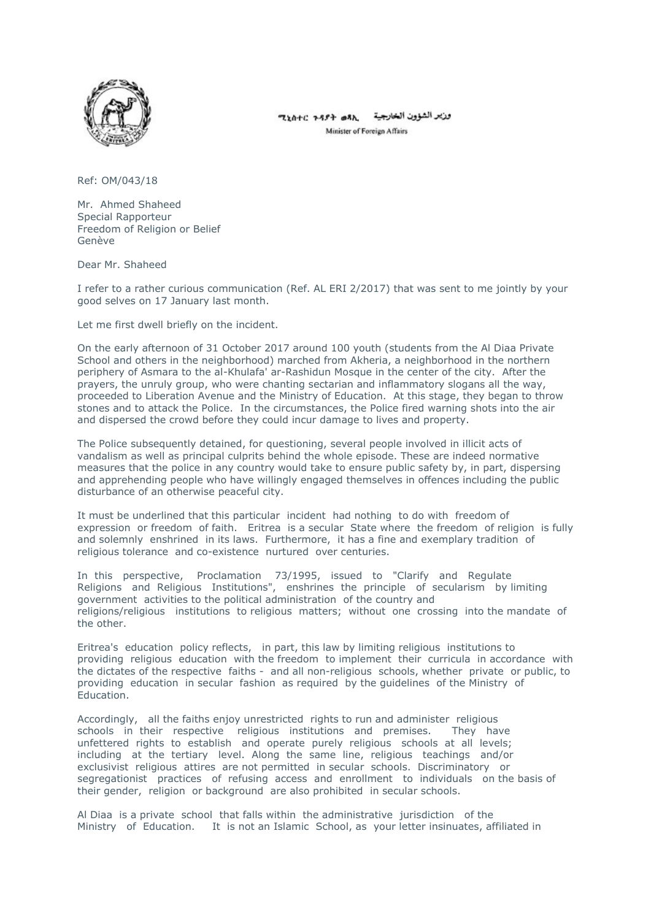

وزير الشؤون الخارجية ٢٩٢٠ ٢٤٥٢٥ Minister of Foreign Affairs

Ref: OM/043/18

Mr. Ahmed Shaheed Special Rapporteur Freedom of Religion or Belief Genève

Dear Mr. Shaheed

I refer to a rather curious communication (Ref. AL ERI 2/2017) that was sent to me jointly by your good selves on 17 January last month.

Let me first dwell briefly on the incident.

On the early afternoon of 31 October 2017 around 100 youth (students from the Al Diaa Private School and others in the neighborhood) marched from Akheria, a neighborhood in the northern periphery of Asmara to the al-Khulafa' ar-Rashidun Mosque in the center of the city. After the prayers, the unruly group, who were chanting sectarian and inflammatory slogans all the way, proceeded to Liberation Avenue and the Ministry of Education. At this stage, they began to throw stones and to attack the Police. In the circumstances, the Police fired warning shots into the air and dispersed the crowd before they could incur damage to lives and property.

The Police subsequently detained, for questioning, several people involved in illicit acts of vandalism as well as principal culprits behind the whole episode. These are indeed normative measures that the police in any country would take to ensure public safety by, in part, dispersing and apprehending people who have willingly engaged themselves in offences including the public disturbance of an otherwise peaceful city.

It must be underlined that this particular incident had nothing to do with freedom of expression or freedom of faith. Eritrea is a secular State where the freedom of religion is fully and solemnly enshrined in its laws. Furthermore, it has a fine and exemplary tradition of religious tolerance and co-existence nurtured over centuries.

In this perspective, Proclamation 73/1995, issued to "Clarify and Regulate Religions and Religious Institutions", enshrines the principle of secularism by limiting government activities to the political administration of the country and religions/religious institutions to religious matters; without one crossing into the mandate of the other.

Eritrea's education policy reflects, in part, this law by limiting religious institutions to providing religious education with the freedom to implement their curricula in accordance with the dictates of the respective faiths - and all non-religious schools, whether private or public, to providing education in secular fashion as required by the guidelines of the Ministry of Education.

Accordingly, all the faiths enjoy unrestricted rights to run and administer religious schools in their respective religious institutions and premises. They have unfettered rights to establish and operate purely religious schools at all levels; including at the tertiary level. Along the same line, religious teachings and/or exclusivist religious attires are not permitted in secular schools. Discriminatory or segregationist practices of refusing access and enrollment to individuals on the basis of their gender, religion or background are also prohibited in secular schools.

Al Diaa is a private school that falls within the administrative jurisdiction of the Ministry of Education. It is not an Islamic School, as your letter insinuates, affiliated in